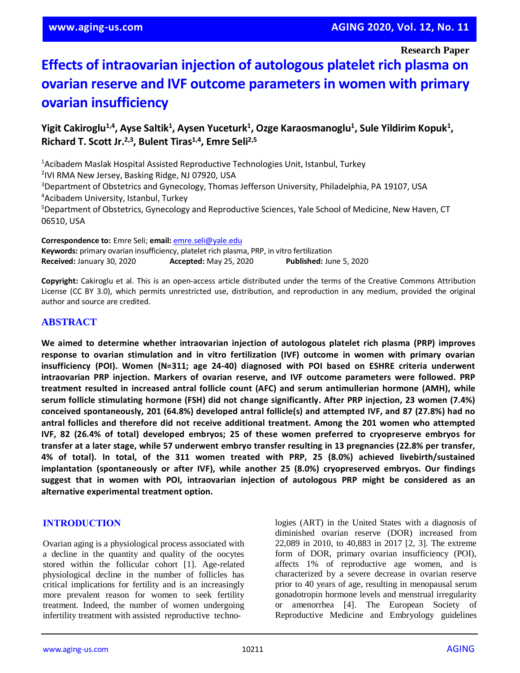**Research Paper**

# **Effects of intraovarian injection of autologous platelet rich plasma on ovarian reserve and IVF outcome parameters in women with primary ovarian insufficiency**

# Yigit Cakiroglu<sup>1,4</sup>, Ayse Saltik<sup>1</sup>, Aysen Yuceturk<sup>1</sup>, Ozge Karaosmanoglu<sup>1</sup>, Sule Yildirim Kopuk<sup>1</sup>, **Richard T. Scott Jr.2,3 , Bulent Tiras1,4 , Emre Seli2,5**

<sup>1</sup>Acibadem Maslak Hospital Assisted Reproductive Technologies Unit, Istanbul, Turkey <sup>2</sup>IVI RMA New Jersey, Basking Ridge, NJ 07920, USA <sup>3</sup>Department of Obstetrics and Gynecology, Thomas Jefferson University, Philadelphia, PA 19107, USA <sup>4</sup>Acibadem University, Istanbul, Turkey <sup>5</sup>Department of Obstetrics, Gynecology and Reproductive Sciences, Yale School of Medicine, New Haven, CT 06510, USA

**Correspondence to:** Emre Seli; **email:** [emre.seli@yale.edu](mailto:emre.seli@yale.edu)

**Keywords:** primary ovarian insufficiency, platelet rich plasma, PRP, in vitro fertilization **Received:** January 30, 2020 **Accepted:** May 25, 2020 **Published:** June 5, 2020

**Copyright:** Cakiroglu et al. This is an open-access article distributed under the terms of the Creative Commons Attribution License (CC BY 3.0), which permits unrestricted use, distribution, and reproduction in any medium, provided the original author and source are credited.

## **ABSTRACT**

**We aimed to determine whether intraovarian injection of autologous platelet rich plasma (PRP) improves response to ovarian stimulation and in vitro fertilization (IVF) outcome in women with primary ovarian insufficiency (POI). Women (N=311; age 24-40) diagnosed with POI based on ESHRE criteria underwent intraovarian PRP injection. Markers of ovarian reserve, and IVF outcome parameters were followed. PRP treatment resulted in increased antral follicle count (AFC) and serum antimullerian hormone (AMH), while serum follicle stimulating hormone (FSH) did not change significantly. After PRP injection, 23 women (7.4%) conceived spontaneously, 201 (64.8%) developed antral follicle(s) and attempted IVF, and 87 (27.8%) had no antral follicles and therefore did not receive additional treatment. Among the 201 women who attempted IVF, 82 (26.4% of total) developed embryos; 25 of these women preferred to cryopreserve embryos for** transfer at a later stage, while 57 underwent embryo transfer resulting in 13 pregnancies (22.8% per transfer, **4% of total). In total, of the 311 women treated with PRP, 25 (8.0%) achieved livebirth/sustained implantation (spontaneously or after IVF), while another 25 (8.0%) cryopreserved embryos. Our findings suggest that in women with POI, intraovarian injection of autologous PRP might be considered as an alternative experimental treatment option.**

## **INTRODUCTION**

Ovarian aging is a physiological process associated with a decline in the quantity and quality of the oocytes stored within the follicular cohort [1]. Age-related physiological decline in the number of follicles has critical implications for fertility and is an increasingly more prevalent reason for women to seek fertility treatment. Indeed, the number of women undergoing infertility treatment with assisted reproductive technologies (ART) in the United States with a diagnosis of diminished ovarian reserve (DOR) increased from 22,089 in 2010, to 40,883 in 2017 [2, 3]. The extreme form of DOR, primary ovarian insufficiency (POI), affects 1% of reproductive age women, and is characterized by a severe decrease in ovarian reserve prior to 40 years of age, resulting in menopausal serum gonadotropin hormone levels and menstrual irregularity or amenorrhea [4]. The European Society of Reproductive Medicine and Embryology guidelines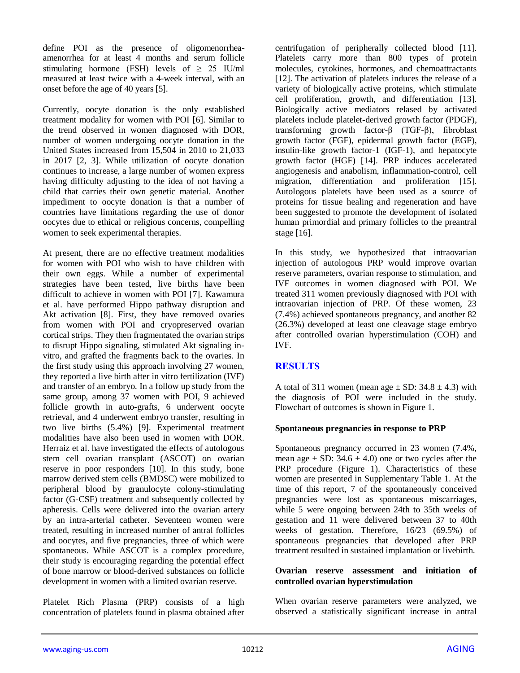define POI as the presence of oligomenorrheaamenorrhea for at least 4 months and serum follicle stimulating hormone (FSH) levels of  $\geq$  25 IU/ml measured at least twice with a 4-week interval, with an onset before the age of 40 years [5].

Currently, oocyte donation is the only established treatment modality for women with POI [6]. Similar to the trend observed in women diagnosed with DOR, number of women undergoing oocyte donation in the United States increased from 15,504 in 2010 to 21,033 in 2017 [2, 3]. While utilization of oocyte donation continues to increase, a large number of women express having difficulty adjusting to the idea of not having a child that carries their own genetic material. Another impediment to oocyte donation is that a number of countries have limitations regarding the use of donor oocytes due to ethical or religious concerns, compelling women to seek experimental therapies.

At present, there are no effective treatment modalities for women with POI who wish to have children with their own eggs. While a number of experimental strategies have been tested, live births have been difficult to achieve in women with POI [7]. Kawamura et al. have performed Hippo pathway disruption and Akt activation [8]. First, they have removed ovaries from women with POI and cryopreserved ovarian cortical strips. They then fragmentated the ovarian strips to disrupt Hippo signaling, stimulated Akt signaling invitro, and grafted the fragments back to the ovaries. In the first study using this approach involving 27 women, they reported a live birth after in vitro fertilization (IVF) and transfer of an embryo. In a follow up study from the same group, among 37 women with POI, 9 achieved follicle growth in auto-grafts, 6 underwent oocyte retrieval, and 4 underwent embryo transfer, resulting in two live births (5.4%) [9]. Experimental treatment modalities have also been used in women with DOR. Herraiz et al. have investigated the effects of autologous stem cell ovarian transplant (ASCOT) on ovarian reserve in poor responders [10]. In this study, bone marrow derived stem cells (BMDSC) were mobilized to peripheral blood by granulocyte colony-stimulating factor (G-CSF) treatment and subsequently collected by apheresis. Cells were delivered into the ovarian artery by an intra-arterial catheter. Seventeen women were treated, resulting in increased number of antral follicles and oocytes, and five pregnancies, three of which were spontaneous. While ASCOT is a complex procedure, their study is encouraging regarding the potential effect of bone marrow or blood-derived substances on follicle development in women with a limited ovarian reserve.

Platelet Rich Plasma (PRP) consists of a high concentration of platelets found in plasma obtained after centrifugation of peripherally collected blood [11]. Platelets carry more than 800 types of protein molecules, cytokines, hormones, and chemoattractants [12]. The activation of platelets induces the release of a variety of biologically active proteins, which stimulate cell proliferation, growth, and differentiation [13]. Biologically active mediators relased by activated platelets include platelet-derived growth factor (PDGF), transforming growth factor-β (TGF-β), fibroblast growth factor (FGF), epidermal growth factor (EGF), insulin-like growth factor-1 (IGF-1), and hepatocyte growth factor (HGF) [14]. PRP induces accelerated angiogenesis and anabolism, inflammation-control, cell migration, differentiation and proliferation [15]. Autologous platelets have been used as a source of proteins for tissue healing and regeneration and have been suggested to promote the development of isolated human primordial and primary follicles to the preantral stage [16].

In this study, we hypothesized that intraovarian injection of autologous PRP would improve ovarian reserve parameters, ovarian response to stimulation, and IVF outcomes in women diagnosed with POI. We treated 311 women previously diagnosed with POI with intraovarian injection of PRP. Of these women, 23 (7.4%) achieved spontaneous pregnancy, and another 82 (26.3%) developed at least one cleavage stage embryo after controlled ovarian hyperstimulation (COH) and IVF.

# **RESULTS**

A total of 311 women (mean age  $\pm$  SD: 34.8  $\pm$  4.3) with the diagnosis of POI were included in the study. Flowchart of outcomes is shown in Figure 1.

### **Spontaneous pregnancies in response to PRP**

Spontaneous pregnancy occurred in 23 women (7.4%, mean age  $\pm$  SD: 34.6  $\pm$  4.0) one or two cycles after the PRP procedure (Figure 1). Characteristics of these women are presented in Supplementary Table 1. At the time of this report, 7 of the spontaneously conceived pregnancies were lost as spontaneous miscarriages, while 5 were ongoing between 24th to 35th weeks of gestation and 11 were delivered between 37 to 40th weeks of gestation. Therefore, 16/23 (69.5%) of spontaneous pregnancies that developed after PRP treatment resulted in sustained implantation or livebirth.

#### **Ovarian reserve assessment and initiation of controlled ovarian hyperstimulation**

When ovarian reserve parameters were analyzed, we observed a statistically significant increase in antral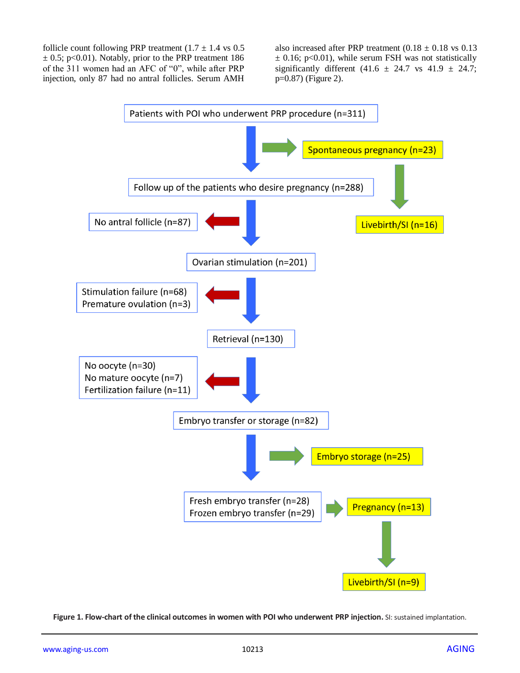follicle count following PRP treatment  $(1.7 \pm 1.4 \text{ vs } 0.5$  $\pm$  0.5; p<0.01). Notably, prior to the PRP treatment 186 of the 311 women had an AFC of "0", while after PRP injection, only 87 had no antral follicles. Serum AMH

also increased after PRP treatment  $(0.18 \pm 0.18 \text{ vs } 0.13)$  $\pm$  0.16; p<0.01), while serum FSH was not statistically significantly different (41.6  $\pm$  24.7 vs 41.9  $\pm$  24.7; p=0.87) (Figure 2).



**Figure 1. Flow-chart of the clinical outcomes in women with POI who underwent PRP injection.** SI: sustained implantation.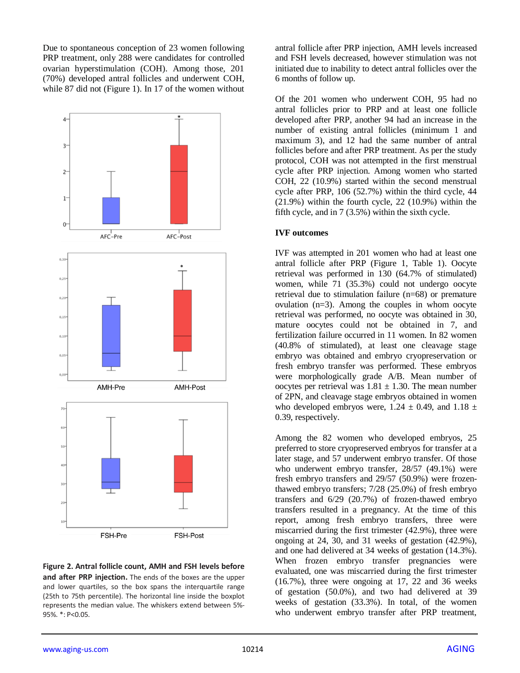Due to spontaneous conception of 23 women following PRP treatment, only 288 were candidates for controlled ovarian hyperstimulation (COH). Among those, 201 (70%) developed antral follicles and underwent COH, while 87 did not (Figure 1). In 17 of the women without



**Figure 2. Antral follicle count, AMH and FSH levels before and after PRP injection.** The ends of the boxes are the upper and lower quartiles, so the box spans the interquartile range (25th to 75th percentile). The horizontal line inside the boxplot represents the median value. The whiskers extend between 5%- 95%. \*: P<0.05.

antral follicle after PRP injection, AMH levels increased and FSH levels decreased, however stimulation was not initiated due to inability to detect antral follicles over the 6 months of follow up.

Of the 201 women who underwent COH, 95 had no antral follicles prior to PRP and at least one follicle developed after PRP, another 94 had an increase in the number of existing antral follicles (minimum 1 and maximum 3), and 12 had the same number of antral follicles before and after PRP treatment. As per the study protocol, COH was not attempted in the first menstrual cycle after PRP injection. Among women who started COH, 22 (10.9%) started within the second menstrual cycle after PRP, 106 (52.7%) within the third cycle, 44 (21.9%) within the fourth cycle, 22 (10.9%) within the fifth cycle, and in 7 (3.5%) within the sixth cycle.

#### **IVF outcomes**

IVF was attempted in 201 women who had at least one antral follicle after PRP (Figure 1, Table 1). Oocyte retrieval was performed in 130 (64.7% of stimulated) women, while 71 (35.3%) could not undergo oocyte retrieval due to stimulation failure (n=68) or premature ovulation  $(n=3)$ . Among the couples in whom oocyte retrieval was performed, no oocyte was obtained in 30, mature oocytes could not be obtained in 7, and fertilization failure occurred in 11 women. In 82 women (40.8% of stimulated), at least one cleavage stage embryo was obtained and embryo cryopreservation or fresh embryo transfer was performed. These embryos were morphologically grade A/B. Mean number of oocytes per retrieval was  $1.81 \pm 1.30$ . The mean number of 2PN, and cleavage stage embryos obtained in women who developed embryos were,  $1.24 \pm 0.49$ , and  $1.18 \pm 0.49$ 0.39, respectively.

Among the 82 women who developed embryos, 25 preferred to store cryopreserved embryos for transfer at a later stage, and 57 underwent embryo transfer. Of those who underwent embryo transfer, 28/57 (49.1%) were fresh embryo transfers and 29/57 (50.9%) were frozenthawed embryo transfers; 7/28 (25.0%) of fresh embryo transfers and 6/29 (20.7%) of frozen-thawed embryo transfers resulted in a pregnancy. At the time of this report, among fresh embryo transfers, three were miscarried during the first trimester (42.9%), three were ongoing at 24, 30, and 31 weeks of gestation (42.9%), and one had delivered at 34 weeks of gestation (14.3%). When frozen embryo transfer pregnancies were evaluated, one was miscarried during the first trimester (16.7%), three were ongoing at 17, 22 and 36 weeks of gestation (50.0%), and two had delivered at 39 weeks of gestation (33.3%). In total, of the women who underwent embryo transfer after PRP treatment,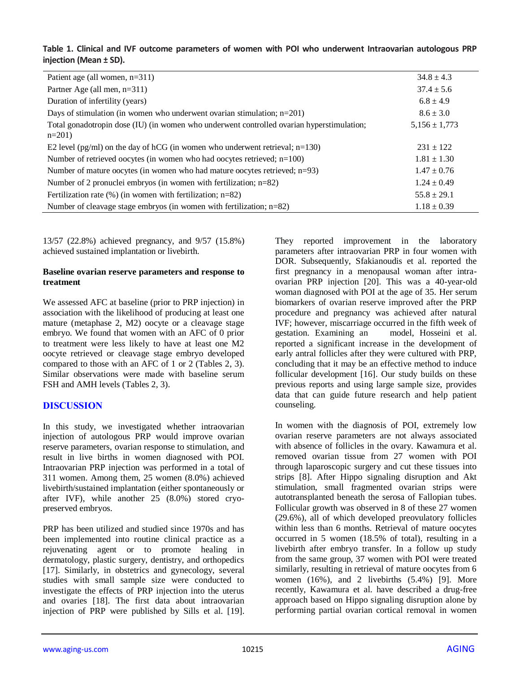## **Table 1. Clinical and IVF outcome parameters of women with POI who underwent Intraovarian autologous PRP injection (Mean ± SD).**

| Patient age (all women, $n=311$ )                                                                    | $34.8 \pm 4.3$    |
|------------------------------------------------------------------------------------------------------|-------------------|
| Partner Age (all men, n=311)                                                                         | $37.4 \pm 5.6$    |
| Duration of infertility (years)                                                                      | $6.8 \pm 4.9$     |
| Days of stimulation (in women who underwent ovarian stimulation; $n=201$ )                           | $8.6 \pm 3.0$     |
| Total gonadotropin dose (IU) (in women who underwent controlled ovarian hyperstimulation;<br>$n=201$ | $5,156 \pm 1,773$ |
| E2 level (pg/ml) on the day of hCG (in women who underwent retrieval; $n=130$ )                      | $231 \pm 122$     |
| Number of retrieved oocytes (in women who had oocytes retrieved; n=100)                              | $1.81 \pm 1.30$   |
| Number of mature oocytes (in women who had mature oocytes retrieved; $n=93$ )                        | $1.47 \pm 0.76$   |
| Number of 2 pronuclei embryos (in women with fertilization; $n=82$ )                                 | $1.24 \pm 0.49$   |
| Fertilization rate $(\%)$ (in women with fertilization; n=82)                                        | $55.8 \pm 29.1$   |
| Number of cleavage stage embryos (in women with fertilization; $n=82$ )                              | $1.18 \pm 0.39$   |

13/57 (22.8%) achieved pregnancy, and 9/57 (15.8%) achieved sustained implantation or livebirth.

#### **Baseline ovarian reserve parameters and response to treatment**

We assessed AFC at baseline (prior to PRP injection) in association with the likelihood of producing at least one mature (metaphase 2, M2) oocyte or a cleavage stage embryo. We found that women with an AFC of 0 prior to treatment were less likely to have at least one M2 oocyte retrieved or cleavage stage embryo developed compared to those with an AFC of 1 or 2 (Tables 2, 3). Similar observations were made with baseline serum FSH and AMH levels (Tables 2, 3).

## **DISCUSSION**

In this study, we investigated whether intraovarian injection of autologous PRP would improve ovarian reserve parameters, ovarian response to stimulation, and result in live births in women diagnosed with POI. Intraovarian PRP injection was performed in a total of 311 women. Among them, 25 women (8.0%) achieved livebirth/sustained implantation (either spontaneously or after IVF), while another 25 (8.0%) stored cryopreserved embryos.

PRP has been utilized and studied since 1970s and has been implemented into routine clinical practice as a rejuvenating agent or to promote healing in dermatology, plastic surgery, dentistry, and orthopedics [17]. Similarly, in obstetrics and gynecology, several studies with small sample size were conducted to investigate the effects of PRP injection into the uterus and ovaries [18]. The first data about intraovarian injection of PRP were published by Sills et al. [19]. They reported improvement in the laboratory parameters after intraovarian PRP in four women with DOR. Subsequently, Sfakianoudis et al. reported the first pregnancy in a menopausal woman after intraovarian PRP injection [20]. This was a 40-year-old woman diagnosed with POI at the age of 35. Her serum biomarkers of ovarian reserve improved after the PRP procedure and pregnancy was achieved after natural IVF; however, miscarriage occurred in the fifth week of gestation. Examining an model, Hosseini et al. reported a significant increase in the development of early antral follicles after they were cultured with PRP, concluding that it may be an effective method to induce follicular development [16]. Our study builds on these previous reports and using large sample size, provides data that can guide future research and help patient counseling.

In women with the diagnosis of POI, extremely low ovarian reserve parameters are not always associated with absence of follicles in the ovary. Kawamura et al. removed ovarian tissue from 27 women with POI through laparoscopic surgery and cut these tissues into strips [8]. After Hippo signaling disruption and Akt stimulation, small fragmented ovarian strips were autotransplanted beneath the serosa of Fallopian tubes. Follicular growth was observed in 8 of these 27 women (29.6%), all of which developed preovulatory follicles within less than 6 months. Retrieval of mature oocytes occurred in 5 women (18.5% of total), resulting in a livebirth after embryo transfer. In a follow up study from the same group, 37 women with POI were treated similarly, resulting in retrieval of mature oocytes from 6 women  $(16\%)$ , and 2 livebirths  $(5.4\%)$  [9]. More recently, Kawamura et al. have described a drug-free approach based on Hippo signaling disruption alone by performing partial ovarian cortical removal in women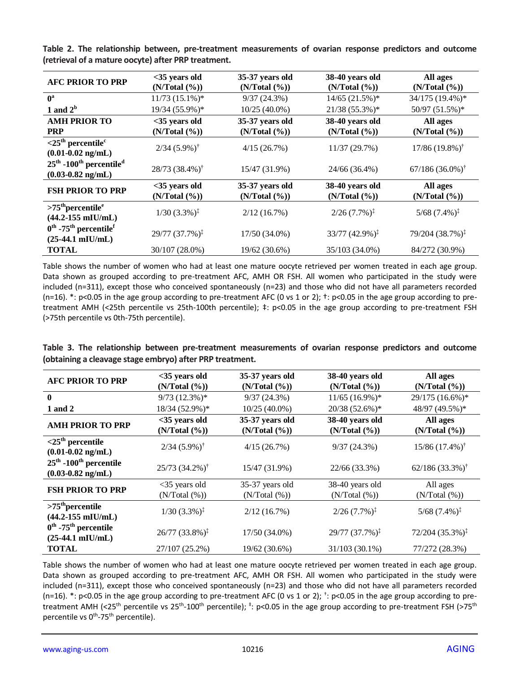| <b>AFC PRIOR TO PRP</b>                                                                 | $<$ 35 years old<br>(N/Total (%)) | 35-37 years old<br>(N/Total (%)) | 38-40 years old<br>(N/Total (%)) | All ages<br>(N/Total (%))        |
|-----------------------------------------------------------------------------------------|-----------------------------------|----------------------------------|----------------------------------|----------------------------------|
| $0^a$                                                                                   | $11/73$ $(15.1\%)*$               | 9/37(24.3%)                      | $14/65$ (21.5%)*                 | 34/175 (19.4%)*                  |
| 1 and $2b$                                                                              | 19/34 (55.9%)*                    | $10/25(40.0\%)$                  | 21/38 (55.3%)*                   | 50/97 (51.5%)*                   |
| <b>AMH PRIOR TO</b>                                                                     | $<$ 35 years old                  | 35-37 years old                  | 38-40 years old                  | All ages                         |
| <b>PRP</b>                                                                              | (N/Total (%))                     | (N/Total (%))                    | (N/Total (%))                    | (N/Total (%))                    |
| $<$ 25 <sup>th</sup> percentile <sup>c</sup><br>$(0.01 - 0.02 \text{ ng/mL})$           | $2/34$ (5.9%) <sup>†</sup>        | 4/15(26.7%)                      | 11/37(29.7%)                     | $17/86$ (19.8%) <sup>†</sup>     |
| $25th$ -100 <sup>th</sup> percentile <sup>d</sup><br>$(0.03 - 0.82 \text{ ng/mL})$      | $28/73$ $(38.4\%)$ <sup>†</sup>   | 15/47 (31.9%)                    | 24/66 (36.4%)                    | $67/186$ $(36.0\%)$ <sup>†</sup> |
| <b>FSH PRIOR TO PRP</b>                                                                 | $<$ 35 years old<br>(N/Total (%)) | 35-37 years old<br>(N/Total (%)) | 38-40 years old<br>(N/Total (%)) | All ages<br>(N/Total (%))        |
| $>75th$ percentile <sup>e</sup><br>$(44.2 - 155$ mIU/mL)                                | $1/30$ $(3.3\%)^{\ddagger}$       | 2/12(16.7%)                      | $2/26$ $(7.7\%)^{\ddagger}$      | $5/68$ $(7.4\%)^{\ddagger}$      |
| $0^{\text{th}}$ -75 <sup>th</sup> percentile <sup>f</sup><br>$(25-44.1 \text{ mIU/mL})$ | $29/77$ $(37.7\%)^{\ddagger}$     | 17/50 (34.0%)                    | $33/77$ $(42.9\%)^{\ddagger}$    | 79/204 (38.7%) <sup>‡</sup>      |
| <b>TOTAL</b>                                                                            | 30/107 (28.0%)                    | 19/62 (30.6%)                    | 35/103 (34.0%)                   | 84/272 (30.9%)                   |

**Table 2. The relationship between, pre-treatment measurements of ovarian response predictors and outcome (retrieval of a mature oocyte) after PRP treatment.**

Table shows the number of women who had at least one mature oocyte retrieved per women treated in each age group. Data shown as grouped according to pre-treatment AFC, AMH OR FSH. All women who participated in the study were included (n=311), except those who conceived spontaneously (n=23) and those who did not have all parameters recorded (n=16).  $*$ : p<0.05 in the age group according to pre-treatment AFC (0 vs 1 or 2);  $*$ : p<0.05 in the age group according to pretreatment AMH (<25th percentile vs 25th-100th percentile); ‡: p<0.05 in the age group according to pre-treatment FSH (>75th percentile vs 0th-75th percentile).

|                                                          |  | Table 3. The relationship between pre-treatment measurements of ovarian response predictors and outcome |  |  |  |
|----------------------------------------------------------|--|---------------------------------------------------------------------------------------------------------|--|--|--|
| (obtaining a cleavage stage embryo) after PRP treatment. |  |                                                                                                         |  |  |  |

| <b>AFC PRIOR TO PRP</b>                                               | $<$ 35 years old<br>(N/Total (%)) | 35-37 years old<br>(N/Total (%)) | 38-40 years old<br>(N/Total (%)) | All ages<br>(N/Total (%))    |
|-----------------------------------------------------------------------|-----------------------------------|----------------------------------|----------------------------------|------------------------------|
| $\mathbf{0}$                                                          | $9/73$ (12.3%)*                   | 9/37(24.3%)                      | $11/65$ (16.9%)*                 | 29/175 (16.6%)*              |
| 1 and 2                                                               | 18/34 (52.9%)*                    | $10/25(40.0\%)$                  | 20/38 (52.6%)*                   | 48/97 (49.5%)*               |
| <b>AMH PRIOR TO PRP</b>                                               | $<$ 35 years old<br>(N/Total (%)) | 35-37 years old<br>(N/Total (%)) | 38-40 years old<br>(N/Total (%)) | All ages<br>(N/Total (%))    |
| $<$ 25 <sup>th</sup> percentile<br>$(0.01 - 0.02)$ ng/mL)             | $2/34$ $(5.9\%)^{\dagger}$        | 4/15(26.7%)                      | 9/37(24.3%)                      | $15/86$ $(17.4\%)^{\dagger}$ |
| $25th$ -100 <sup>th</sup> percentile<br>$(0.03 - 0.82 \text{ ng/mL})$ | $25/73$ $(34.2\%)^{\dagger}$      | 15/47 (31.9%)                    | 22/66 (33.3%)                    | $62/186(33.3\%)^{\dagger}$   |
| <b>FSH PRIOR TO PRP</b>                                               | $<$ 35 years old<br>(N/Total (%)) | 35-37 years old<br>(N/Total (%)) | 38-40 years old<br>(N/Total (%)) | All ages<br>(N/Total (%))    |
| $>75th$ percentile<br>$(44.2 - 155$ mIU/mL)                           | $1/30$ $(3.3\%)^{\ddagger}$       | 2/12(16.7%)                      | $2/26$ $(7.7\%)^{\ddagger}$      | $5/68$ $(7.4\%)^{\ddagger}$  |
| $0^{\text{th}}$ -75 <sup>th</sup> percentile<br>$(25-44.1$ mIU/mL)    | $26/77$ (33.8%) <sup>‡</sup>      | 17/50 (34.0%)                    | $29/77(37.7\%)^{\ddagger}$       | $72/204(35.3\%)^{\ddagger}$  |
| <b>TOTAL</b>                                                          | 27/107 (25.2%)                    | 19/62 (30.6%)                    | 31/103 (30.1%)                   | 77/272 (28.3%)               |

Table shows the number of women who had at least one mature oocyte retrieved per women treated in each age group. Data shown as grouped according to pre-treatment AFC, AMH OR FSH. All women who participated in the study were included (n=311), except those who conceived spontaneously (n=23) and those who did not have all parameters recorded (n=16).  $*$ : p<0.05 in the age group according to pre-treatment AFC (0 vs 1 or 2);  $^+$ : p<0.05 in the age group according to pretreatment AMH (<25<sup>th</sup> percentile vs 25<sup>th</sup>-100<sup>th</sup> percentile); <sup>‡</sup>: p<0.05 in the age group according to pre-treatment FSH (>75<sup>th</sup> percentile vs 0<sup>th</sup>-75<sup>th</sup> percentile).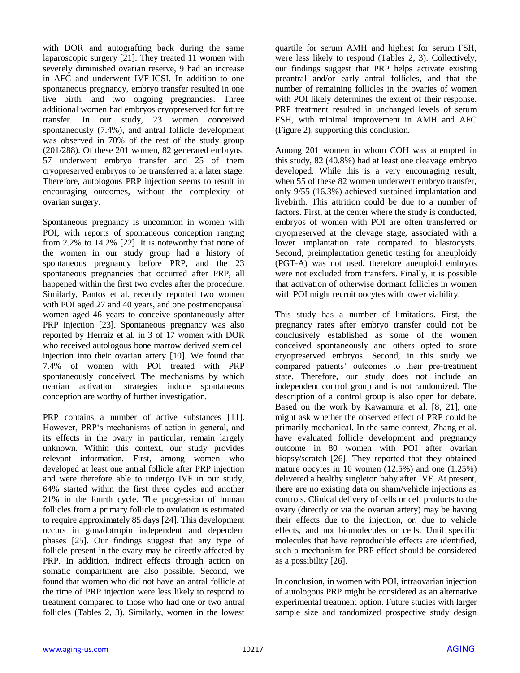with DOR and autografting back during the same laparoscopic surgery [21]. They treated 11 women with severely diminished ovarian reserve, 9 had an increase in AFC and underwent IVF-ICSI. In addition to one spontaneous pregnancy, embryo transfer resulted in one live birth, and two ongoing pregnancies. Three additional women had embryos cryopreserved for future transfer. In our study, 23 women conceived spontaneously (7.4%), and antral follicle development was observed in 70% of the rest of the study group (201/288). Of these 201 women, 82 generated embryos; 57 underwent embryo transfer and 25 of them cryopreserved embryos to be transferred at a later stage. Therefore, autologous PRP injection seems to result in encouraging outcomes, without the complexity of ovarian surgery.

Spontaneous pregnancy is uncommon in women with POI, with reports of spontaneous conception ranging from 2.2% to 14.2% [22]. It is noteworthy that none of the women in our study group had a history of spontaneous pregnancy before PRP, and the 23 spontaneous pregnancies that occurred after PRP, all happened within the first two cycles after the procedure. Similarly, Pantos et al. recently reported two women with POI aged 27 and 40 years, and one postmenopausal women aged 46 years to conceive spontaneously after PRP injection [23]. Spontaneous pregnancy was also reported by Herraiz et al. in 3 of 17 women with DOR who received autologous bone marrow derived stem cell injection into their ovarian artery [10]. We found that 7.4% of women with POI treated with PRP spontaneously conceived. The mechanisms by which ovarian activation strategies induce spontaneous conception are worthy of further investigation.

PRP contains a number of active substances [11]. However, PRP's mechanisms of action in general, and its effects in the ovary in particular, remain largely unknown. Within this context, our study provides relevant information. First, among women who developed at least one antral follicle after PRP injection and were therefore able to undergo IVF in our study, 64% started within the first three cycles and another 21% in the fourth cycle. The progression of human follicles from a primary follicle to ovulation is estimated to require approximately 85 days [24]. This development occurs in gonadotropin independent and dependent phases [25]. Our findings suggest that any type of follicle present in the ovary may be directly affected by PRP. In addition, indirect effects through action on somatic compartment are also possible. Second, we found that women who did not have an antral follicle at the time of PRP injection were less likely to respond to treatment compared to those who had one or two antral follicles (Tables 2, 3). Similarly, women in the lowest

quartile for serum AMH and highest for serum FSH, were less likely to respond (Tables 2, 3). Collectively, our findings suggest that PRP helps activate existing preantral and/or early antral follicles, and that the number of remaining follicles in the ovaries of women with POI likely determines the extent of their response. PRP treatment resulted in unchanged levels of serum FSH, with minimal improvement in AMH and AFC (Figure 2), supporting this conclusion.

Among 201 women in whom COH was attempted in this study, 82 (40.8%) had at least one cleavage embryo developed. While this is a very encouraging result, when 55 of these 82 women underwent embryo transfer, only 9/55 (16.3%) achieved sustained implantation and livebirth. This attrition could be due to a number of factors. First, at the center where the study is conducted, embryos of women with POI are often transferred or cryopreserved at the clevage stage, associated with a lower implantation rate compared to blastocysts. Second, preimplantation genetic testing for aneuploidy (PGT-A) was not used, therefore aneuploid embryos were not excluded from transfers. Finally, it is possible that activation of otherwise dormant follicles in women with POI might recruit oocytes with lower viability.

This study has a number of limitations. First, the pregnancy rates after embryo transfer could not be conclusively established as some of the women conceived spontaneously and others opted to store cryopreserved embryos. Second, in this study we compared patients' outcomes to their pre-treatment state. Therefore, our study does not include an independent control group and is not randomized. The description of a control group is also open for debate. Based on the work by Kawamura et al. [8, 21], one might ask whether the observed effect of PRP could be primarily mechanical. In the same context, Zhang et al. have evaluated follicle development and pregnancy outcome in 80 women with POI after ovarian biopsy/scratch [26]. They reported that they obtained mature oocytes in 10 women (12.5%) and one (1.25%) delivered a healthy singleton baby after IVF. At present, there are no existing data on sham/vehicle injections as controls. Clinical delivery of cells or cell products to the ovary (directly or via the ovarian artery) may be having their effects due to the injection, or, due to vehicle effects, and not biomolecules or cells. Until specific molecules that have reproducible effects are identified, such a mechanism for PRP effect should be considered as a possibility [26].

In conclusion, in women with POI, intraovarian injection of autologous PRP might be considered as an alternative experimental treatment option. Future studies with larger sample size and randomized prospective study design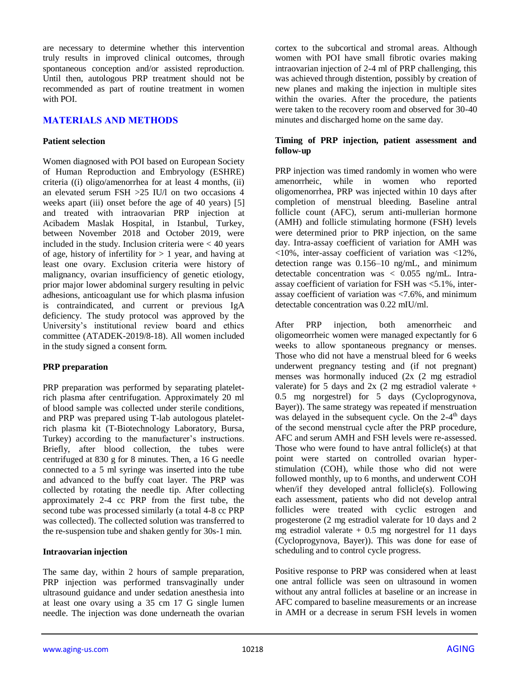are necessary to determine whether this intervention truly results in improved clinical outcomes, through spontaneous conception and/or assisted reproduction. Until then, autologous PRP treatment should not be recommended as part of routine treatment in women with POI.

## **MATERIALS AND METHODS**

### **Patient selection**

Women diagnosed with POI based on European Society of Human Reproduction and Embryology (ESHRE) criteria ((i) oligo/amenorrhea for at least 4 months, (ii) an elevated serum FSH >25 IU/l on two occasions 4 weeks apart (iii) onset before the age of 40 years) [5] and treated with intraovarian PRP injection at Acibadem Maslak Hospital, in Istanbul, Turkey, between November 2018 and October 2019, were included in the study. Inclusion criteria were < 40 years of age, history of infertility for  $> 1$  year, and having at least one ovary. Exclusion criteria were history of malignancy, ovarian insufficiency of genetic etiology, prior major lower abdominal surgery resulting in pelvic adhesions, anticoagulant use for which plasma infusion is contraindicated, and current or previous IgA deficiency. The study protocol was approved by the University's institutional review board and ethics committee (ATADEK-2019/8-18). All women included in the study signed a consent form.

## **PRP preparation**

PRP preparation was performed by separating plateletrich plasma after centrifugation. Approximately 20 ml of blood sample was collected under sterile conditions, and PRP was prepared using T-lab autologous plateletrich plasma kit (T-Biotechnology Laboratory, Bursa, Turkey) according to the manufacturer's instructions. Briefly, after blood collection, the tubes were centrifuged at 830 g for 8 minutes. Then, a 16 G needle connected to a 5 ml syringe was inserted into the tube and advanced to the buffy coat layer. The PRP was collected by rotating the needle tip. After collecting approximately 2-4 cc PRP from the first tube, the second tube was processed similarly (a total 4-8 cc PRP was collected). The collected solution was transferred to the re-suspension tube and shaken gently for 30s-1 min.

### **Intraovarian injection**

The same day, within 2 hours of sample preparation, PRP injection was performed transvaginally under ultrasound guidance and under sedation anesthesia into at least one ovary using a 35 cm 17 G single lumen needle. The injection was done underneath the ovarian cortex to the subcortical and stromal areas. Although women with POI have small fibrotic ovaries making intraovarian injection of 2-4 ml of PRP challenging, this was achieved through distention, possibly by creation of new planes and making the injection in multiple sites within the ovaries. After the procedure, the patients were taken to the recovery room and observed for 30-40 minutes and discharged home on the same day.

### **Timing of PRP injection, patient assessment and follow-up**

PRP injection was timed randomly in women who were amenorrheic, while in women who reported oligomenorrhea, PRP was injected within 10 days after completion of menstrual bleeding. Baseline antral follicle count (AFC), serum anti-mullerian hormone (AMH) and follicle stimulating hormone (FSH) levels were determined prior to PRP injection, on the same day. Intra-assay coefficient of variation for AMH was <10%, inter-assay coefficient of variation was <12%, detection range was 0.156–10 ng/mL, and minimum detectable concentration was  $\langle 0.055 \text{ ng/mL}$ . Intraassay coefficient of variation for FSH was <5.1%, interassay coefficient of variation was <7.6%, and minimum detectable concentration was 0.22 mIU/ml.

After PRP injection, both amenorrheic and oligomeorrheic women were managed expectantly for 6 weeks to allow spontaneous pregnancy or menses. Those who did not have a menstrual bleed for 6 weeks underwent pregnancy testing and (if not pregnant) menses was hormonally induced (2x (2 mg estradiol valerate) for 5 days and  $2x$  (2 mg estradiol valerate + 0.5 mg norgestrel) for 5 days (Cycloprogynova, Bayer)). The same strategy was repeated if menstruation was delayed in the subsequent cycle. On the 2-4<sup>th</sup> days of the second menstrual cycle after the PRP procedure, AFC and serum AMH and FSH levels were re-assessed. Those who were found to have antral follicle(s) at that point were started on controlled ovarian hyperstimulation (COH), while those who did not were followed monthly, up to 6 months, and underwent COH when/if they developed antral follicle(s). Following each assessment, patients who did not develop antral follicles were treated with cyclic estrogen and progesterone (2 mg estradiol valerate for 10 days and 2 mg estradiol valerate  $+ 0.5$  mg norgestrel for 11 days (Cycloprogynova, Bayer)). This was done for ease of scheduling and to control cycle progress.

Positive response to PRP was considered when at least one antral follicle was seen on ultrasound in women without any antral follicles at baseline or an increase in AFC compared to baseline measurements or an increase in AMH or a decrease in serum FSH levels in women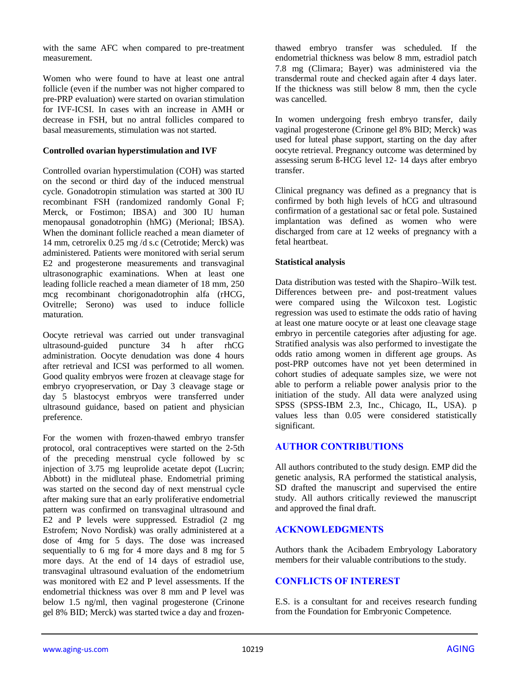with the same AFC when compared to pre-treatment measurement.

Women who were found to have at least one antral follicle (even if the number was not higher compared to pre-PRP evaluation) were started on ovarian stimulation for IVF-ICSI. In cases with an increase in AMH or decrease in FSH, but no antral follicles compared to basal measurements, stimulation was not started.

#### **Controlled ovarian hyperstimulation and IVF**

Controlled ovarian hyperstimulation (COH) was started on the second or third day of the induced menstrual cycle. Gonadotropin stimulation was started at 300 IU recombinant FSH (randomized randomly Gonal F; Merck, or Fostimon; IBSA) and 300 IU human menopausal gonadotrophin (hMG) (Merional; IBSA). When the dominant follicle reached a mean diameter of 14 mm, cetrorelix 0.25 mg /d s.c (Cetrotide; Merck) was administered. Patients were monitored with serial serum E2 and progesterone measurements and transvaginal ultrasonographic examinations. When at least one leading follicle reached a mean diameter of 18 mm, 250 mcg recombinant chorigonadotrophin alfa (rHCG, Ovitrelle; Serono) was used to induce follicle maturation.

Oocyte retrieval was carried out under transvaginal ultrasound-guided puncture 34 h after rhCG administration. Oocyte denudation was done 4 hours after retrieval and ICSI was performed to all women. Good quality embryos were frozen at cleavage stage for embryo cryopreservation, or Day 3 cleavage stage or day 5 blastocyst embryos were transferred under ultrasound guidance, based on patient and physician preference.

For the women with frozen-thawed embryo transfer protocol, oral contraceptives were started on the 2-5th of the preceding menstrual cycle followed by sc injection of 3.75 mg leuprolide acetate depot (Lucrin; Abbott) in the midluteal phase. Endometrial priming was started on the second day of next menstrual cycle after making sure that an early proliferative endometrial pattern was confirmed on transvaginal ultrasound and E2 and P levels were suppressed. Estradiol (2 mg Estrofem; Novo Nordisk) was orally administered at a dose of 4mg for 5 days. The dose was increased sequentially to 6 mg for 4 more days and 8 mg for 5 more days. At the end of 14 days of estradiol use, transvaginal ultrasound evaluation of the endometrium was monitored with E2 and P level assessments. If the endometrial thickness was over 8 mm and P level was below 1.5 ng/ml, then vaginal progesterone (Crinone gel 8% BID; Merck) was started twice a day and frozenthawed embryo transfer was scheduled. If the endometrial thickness was below 8 mm, estradiol patch 7.8 mg (Climara; Bayer) was administered via the transdermal route and checked again after 4 days later. If the thickness was still below 8 mm, then the cycle was cancelled.

In women undergoing fresh embryo transfer, daily vaginal progesterone (Crinone gel 8% BID; Merck) was used for luteal phase support, starting on the day after oocyte retrieval. Pregnancy outcome was determined by assessing serum ß-HCG level 12- 14 days after embryo transfer.

Clinical pregnancy was defined as a pregnancy that is confirmed by both high levels of hCG and ultrasound confirmation of a gestational sac or fetal pole. Sustained implantation was defined as women who were discharged from care at 12 weeks of pregnancy with a fetal heartbeat.

### **Statistical analysis**

Data distribution was tested with the Shapiro–Wilk test. Differences between pre- and post-treatment values were compared using the Wilcoxon test. Logistic regression was used to estimate the odds ratio of having at least one mature oocyte or at least one cleavage stage embryo in percentile categories after adjusting for age. Stratified analysis was also performed to investigate the odds ratio among women in different age groups. As post-PRP outcomes have not yet been determined in cohort studies of adequate samples size, we were not able to perform a reliable power analysis prior to the initiation of the study. All data were analyzed using SPSS (SPSS-IBM 2.3, Inc., Chicago, IL, USA). p values less than 0.05 were considered statistically significant.

## **AUTHOR CONTRIBUTIONS**

All authors contributed to the study design. EMP did the genetic analysis, RA performed the statistical analysis, SD drafted the manuscript and supervised the entire study. All authors critically reviewed the manuscript and approved the final draft.

## **ACKNOWLEDGMENTS**

Authors thank the Acibadem Embryology Laboratory members for their valuable contributions to the study.

## **CONFLICTS OF INTEREST**

E.S. is a consultant for and receives research funding from the Foundation for Embryonic Competence.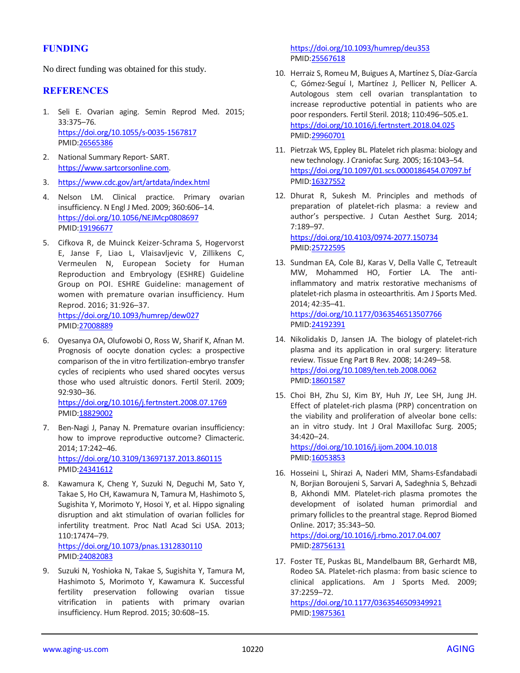## **FUNDING**

No direct funding was obtained for this study.

### **REFERENCES**

- 1. Seli E. Ovarian aging. Semin Reprod Med. 2015; 33:375–76. <https://doi.org/10.1055/s-0035-1567817> PMID[:26565386](https://pubmed.ncbi.nlm.nih.gov/26565386)
- 2. National Summary Report- SART. [https://www.sartcorsonline.com.](https://www.sartcorsonline.com/)
- 3. <https://www.cdc.gov/art/artdata/index.html>
- 4. Nelson LM. Clinical practice. Primary ovarian insufficiency. N Engl J Med. 2009; 360:606–14. <https://doi.org/10.1056/NEJMcp0808697> PMID[:19196677](https://pubmed.ncbi.nlm.nih.gov/19196677)
- 5. Cifkova R, de Muinck Keizer-Schrama S, Hogervorst E, Janse F, Liao L, Vlaisavljevic V, Zillikens C, Vermeulen N, European Society for Human Reproduction and Embryology (ESHRE) Guideline Group on POI. ESHRE Guideline: management of women with premature ovarian insufficiency. Hum Reprod. 2016; 31:926–37. <https://doi.org/10.1093/humrep/dew027>

PMID[:27008889](https://pubmed.ncbi.nlm.nih.gov/27008889)

6. Oyesanya OA, Olufowobi O, Ross W, Sharif K, Afnan M. Prognosis of oocyte donation cycles: a prospective comparison of the in vitro fertilization-embryo transfer cycles of recipients who used shared oocytes versus those who used altruistic donors. Fertil Steril. 2009; 92:930–36.

<https://doi.org/10.1016/j.fertnstert.2008.07.1769> PMID[:18829002](https://pubmed.ncbi.nlm.nih.gov/18829002)

- 7. Ben-Nagi J, Panay N. Premature ovarian insufficiency: how to improve reproductive outcome? Climacteric. 2014; 17:242–46. <https://doi.org/10.3109/13697137.2013.860115> PMID[:24341612](https://pubmed.ncbi.nlm.nih.gov/24341612)
- 8. Kawamura K, Cheng Y, Suzuki N, Deguchi M, Sato Y, Takae S, Ho CH, Kawamura N, Tamura M, Hashimoto S, Sugishita Y, Morimoto Y, Hosoi Y, et al. Hippo signaling disruption and akt stimulation of ovarian follicles for infertility treatment. Proc Natl Acad Sci USA. 2013; 110:17474–79. <https://doi.org/10.1073/pnas.1312830110> PMID[:24082083](https://pubmed.ncbi.nlm.nih.gov/24082083)
- 9. Suzuki N, Yoshioka N, Takae S, Sugishita Y, Tamura M, Hashimoto S, Morimoto Y, Kawamura K. Successful fertility preservation following ovarian tissue vitrification in patients with primary ovarian insufficiency. Hum Reprod. 2015; 30:608–15.

<https://doi.org/10.1093/humrep/deu353> PMI[D:25567618](https://pubmed.ncbi.nlm.nih.gov/25567618)

- 10. Herraiz S, Romeu M, Buigues A, Martínez S, Díaz-García C, Gómez-Seguí I, Martínez J, Pellicer N, Pellicer A. Autologous stem cell ovarian transplantation to increase reproductive potential in patients who are poor responders. Fertil Steril. 2018; 110:496–505.e1. <https://doi.org/10.1016/j.fertnstert.2018.04.025> PMI[D:29960701](https://pubmed.ncbi.nlm.nih.gov/29960701)
- 11. Pietrzak WS, Eppley BL. Platelet rich plasma: biology and new technology. J Craniofac Surg. 2005; 16:1043–54. <https://doi.org/10.1097/01.scs.0000186454.07097.bf> PMI[D:16327552](https://pubmed.ncbi.nlm.nih.gov/16327552)
- 12. Dhurat R, Sukesh M. Principles and methods of preparation of platelet-rich plasma: a review and author's perspective. J Cutan Aesthet Surg. 2014; 7:189–97. <https://doi.org/10.4103/0974-2077.150734>

PMI[D:25722595](https://pubmed.ncbi.nlm.nih.gov/25722595)

13. Sundman EA, Cole BJ, Karas V, Della Valle C, Tetreault MW, Mohammed HO, Fortier LA. The antiinflammatory and matrix restorative mechanisms of platelet-rich plasma in osteoarthritis. Am J Sports Med. 2014; 42:35–41. <https://doi.org/10.1177/0363546513507766>

PMI[D:24192391](https://pubmed.ncbi.nlm.nih.gov/24192391)

- 14. Nikolidakis D, Jansen JA. The biology of platelet-rich plasma and its application in oral surgery: literature review. Tissue Eng Part B Rev. 2008; 14:249–58. <https://doi.org/10.1089/ten.teb.2008.0062> PMI[D:18601587](https://pubmed.ncbi.nlm.nih.gov/18601587)
- 15. Choi BH, Zhu SJ, Kim BY, Huh JY, Lee SH, Jung JH. Effect of platelet-rich plasma (PRP) concentration on the viability and proliferation of alveolar bone cells: an in vitro study. Int J Oral Maxillofac Surg. 2005; 34:420–24.

<https://doi.org/10.1016/j.ijom.2004.10.018> PMI[D:16053853](https://pubmed.ncbi.nlm.nih.gov/16053853)

- 16. Hosseini L, Shirazi A, Naderi MM, Shams-Esfandabadi N, Borjian Boroujeni S, Sarvari A, Sadeghnia S, Behzadi B, Akhondi MM. Platelet-rich plasma promotes the development of isolated human primordial and primary follicles to the preantral stage. Reprod Biomed Online. 2017; 35:343–50. <https://doi.org/10.1016/j.rbmo.2017.04.007> PMI[D:28756131](https://pubmed.ncbi.nlm.nih.gov/28756131)
- 17. Foster TE, Puskas BL, Mandelbaum BR, Gerhardt MB, Rodeo SA. Platelet-rich plasma: from basic science to clinical applications. Am J Sports Med. 2009; 37:2259–72. <https://doi.org/10.1177/0363546509349921> PMI[D:19875361](https://pubmed.ncbi.nlm.nih.gov/19875361)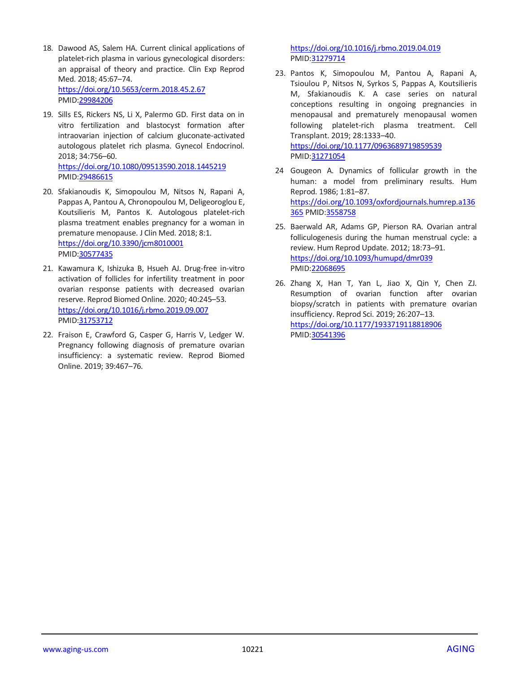- 18. Dawood AS, Salem HA. Current clinical applications of platelet-rich plasma in various gynecological disorders: an appraisal of theory and practice. Clin Exp Reprod Med. 2018; 45:67–74. <https://doi.org/10.5653/cerm.2018.45.2.67> PMID[:29984206](https://pubmed.ncbi.nlm.nih.gov/29984206)
- 19. Sills ES, Rickers NS, Li X, Palermo GD. First data on in vitro fertilization and blastocyst formation after intraovarian injection of calcium gluconate-activated autologous platelet rich plasma. Gynecol Endocrinol. 2018; 34:756–60. <https://doi.org/10.1080/09513590.2018.1445219>

PMID[:29486615](https://pubmed.ncbi.nlm.nih.gov/29486615) 20. Sfakianoudis K, Simopoulou M, Nitsos N, Rapani A, Pappas A, Pantou A, Chronopoulou M, Deligeoroglou E, Koutsilieris M, Pantos K. Autologous platelet-rich plasma treatment enables pregnancy for a woman in premature menopause. J Clin Med. 2018; 8:1.

<https://doi.org/10.3390/jcm8010001> PMID[:30577435](https://pubmed.ncbi.nlm.nih.gov/30577435)

- 21. Kawamura K, Ishizuka B, Hsueh AJ. Drug-free in-vitro activation of follicles for infertility treatment in poor ovarian response patients with decreased ovarian reserve. Reprod Biomed Online. 2020; 40:245–53. <https://doi.org/10.1016/j.rbmo.2019.09.007> PMID[:31753712](https://pubmed.ncbi.nlm.nih.gov/31753712)
- 22. Fraison E, Crawford G, Casper G, Harris V, Ledger W. Pregnancy following diagnosis of premature ovarian insufficiency: a systematic review. Reprod Biomed Online. 2019; 39:467–76.

<https://doi.org/10.1016/j.rbmo.2019.04.019> PMI[D:31279714](https://pubmed.ncbi.nlm.nih.gov/31279714)

- 23. Pantos K, Simopoulou M, Pantou A, Rapani A, Tsioulou P, Nitsos N, Syrkos S, Pappas A, Koutsilieris M, Sfakianoudis K. A case series on natural conceptions resulting in ongoing pregnancies in menopausal and prematurely menopausal women following platelet-rich plasma treatment. Cell Transplant. 2019; 28:1333–40. <https://doi.org/10.1177/0963689719859539> PMI[D:31271054](https://pubmed.ncbi.nlm.nih.gov/31271054)
- 24 Gougeon A. Dynamics of follicular growth in the human: a model from preliminary results. Hum Reprod. 1986; 1:81–87. [https://doi.org/10.1093/oxfordjournals.humrep.a136](https://doi.org/10.1093/oxfordjournals.humrep.a136365) [365](https://doi.org/10.1093/oxfordjournals.humrep.a136365) PMID[:3558758](https://pubmed.ncbi.nlm.nih.gov/3558758)
- 25. Baerwald AR, Adams GP, Pierson RA. Ovarian antral folliculogenesis during the human menstrual cycle: a review. Hum Reprod Update. 2012; 18:73–91. <https://doi.org/10.1093/humupd/dmr039> PMI[D:22068695](https://pubmed.ncbi.nlm.nih.gov/22068695)
- 26. Zhang X, Han T, Yan L, Jiao X, Qin Y, Chen ZJ. Resumption of ovarian function after ovarian biopsy/scratch in patients with premature ovarian insufficiency. Reprod Sci. 2019; 26:207–13. <https://doi.org/10.1177/1933719118818906> PMI[D:30541396](https://pubmed.ncbi.nlm.nih.gov/30541396)